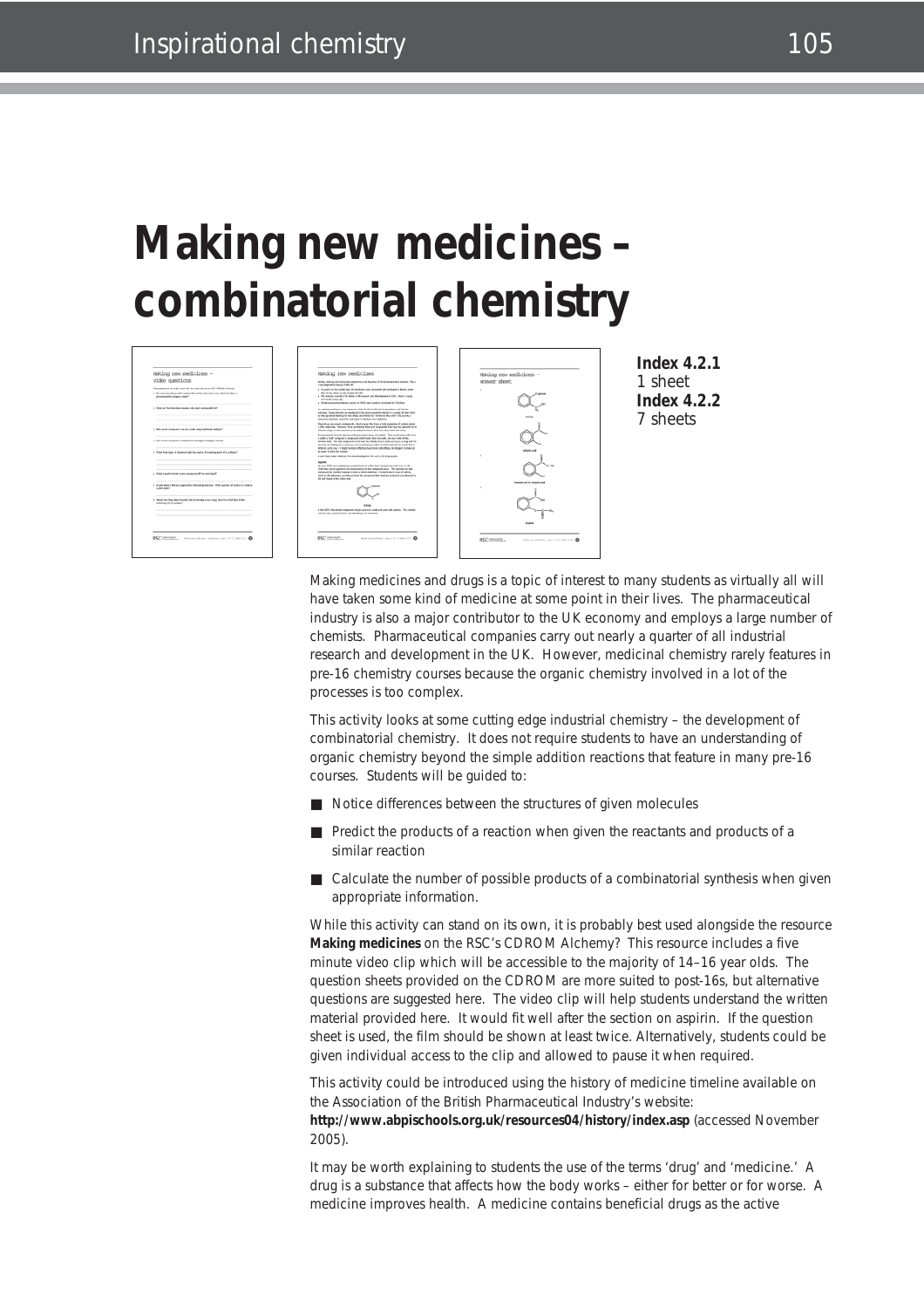# **Making new medicines – combinatorial chemistry**



**Index 4.2.1** 1 sheet **Index 4.2.2** 7 sheets

Making medicines and drugs is a topic of interest to many students as virtually all will have taken some kind of medicine at some point in their lives. The pharmaceutical industry is also a major contributor to the UK economy and employs a large number of chemists. Pharmaceutical companies carry out nearly a quarter of all industrial research and development in the UK. However, medicinal chemistry rarely features in pre-16 chemistry courses because the organic chemistry involved in a lot of the processes is too complex.

This activity looks at some cutting edge industrial chemistry – the development of combinatorial chemistry. It does not require students to have an understanding of organic chemistry beyond the simple addition reactions that feature in many pre-16 courses. Students will be guided to:

- Notice differences between the structures of given molecules
- Predict the products of a reaction when given the reactants and products of a similar reaction
- Calculate the number of possible products of a combinatorial synthesis when given appropriate information.

While this activity can stand on its own, it is probably best used alongside the resource **Making medicines** on the RSC's CDROM *Alchemy?* This resource includes a five minute video clip which will be accessible to the majority of 14–16 year olds. The question sheets provided on the CDROM are more suited to post-16s, but alternative questions are suggested here. The video clip will help students understand the written material provided here. It would fit well after the section on aspirin. If the question sheet is used, the film should be shown at least twice. Alternatively, students could be given individual access to the clip and allowed to pause it when required.

This activity could be introduced using the history of medicine timeline available on the Association of the British Pharmaceutical Industry's website:

**http://www.abpischools.org.uk/resources04/history/index.asp** (accessed November 2005).

It may be worth explaining to students the use of the terms 'drug' and 'medicine.' A drug is a substance that affects how the body works – either for better or for worse. A medicine improves health. A medicine contains beneficial drugs as the active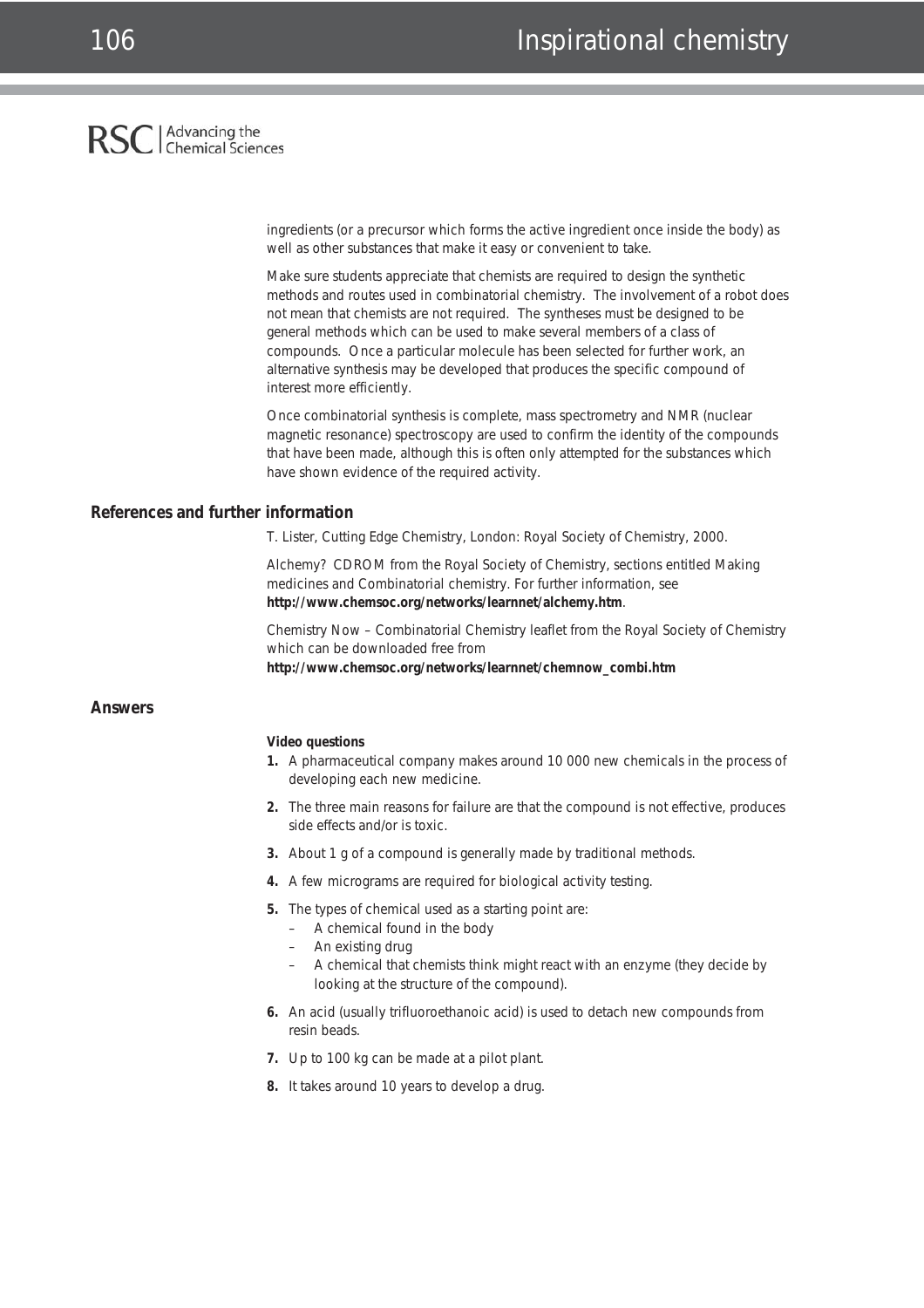#### Advancing the<br>Chemical Sciences **RSC**

ingredients (or a precursor which forms the active ingredient once inside the body) as well as other substances that make it easy or convenient to take.

Make sure students appreciate that chemists are required to design the synthetic methods and routes used in combinatorial chemistry. The involvement of a robot does not mean that chemists are not required. The syntheses must be designed to be general methods which can be used to make several members of a class of compounds. Once a particular molecule has been selected for further work, an alternative synthesis may be developed that produces the specific compound of interest more efficiently.

Once combinatorial synthesis is complete, mass spectrometry and NMR (nuclear magnetic resonance) spectroscopy are used to confirm the identity of the compounds that have been made, although this is often only attempted for the substances which have shown evidence of the required activity.

#### **References and further information**

T. Lister, *Cutting Edge Chemistry*, London: Royal Society of Chemistry, 2000.

*Alchemy?* CDROM from the Royal Society of Chemistry, sections entitled Making medicines and Combinatorial chemistry. For further information, see **http://www.chemsoc.org/networks/learnnet/alchemy.htm**.

*Chemistry Now – Combinatorial Chemistry* leaflet from the Royal Society of Chemistry which can be downloaded free from

**http://www.chemsoc.org/networks/learnnet/chemnow\_combi.htm**

#### **Answers**

#### **Video questions**

- **1.** A pharmaceutical company makes around 10 000 new chemicals in the process of developing each new medicine.
- **2.** The three main reasons for failure are that the compound is not effective, produces side effects and/or is toxic.
- **3.** About 1 g of a compound is generally made by traditional methods.
- **4.** A few micrograms are required for biological activity testing.
- **5.** The types of chemical used as a starting point are:
	- A chemical found in the body
	- An existing drug
	- A chemical that chemists think might react with an enzyme (they decide by looking at the structure of the compound).
- **6.** An acid (usually trifluoroethanoic acid) is used to detach new compounds from resin beads.
- **7.** Up to 100 kg can be made at a pilot plant.
- **8.** It takes around 10 years to develop a drug.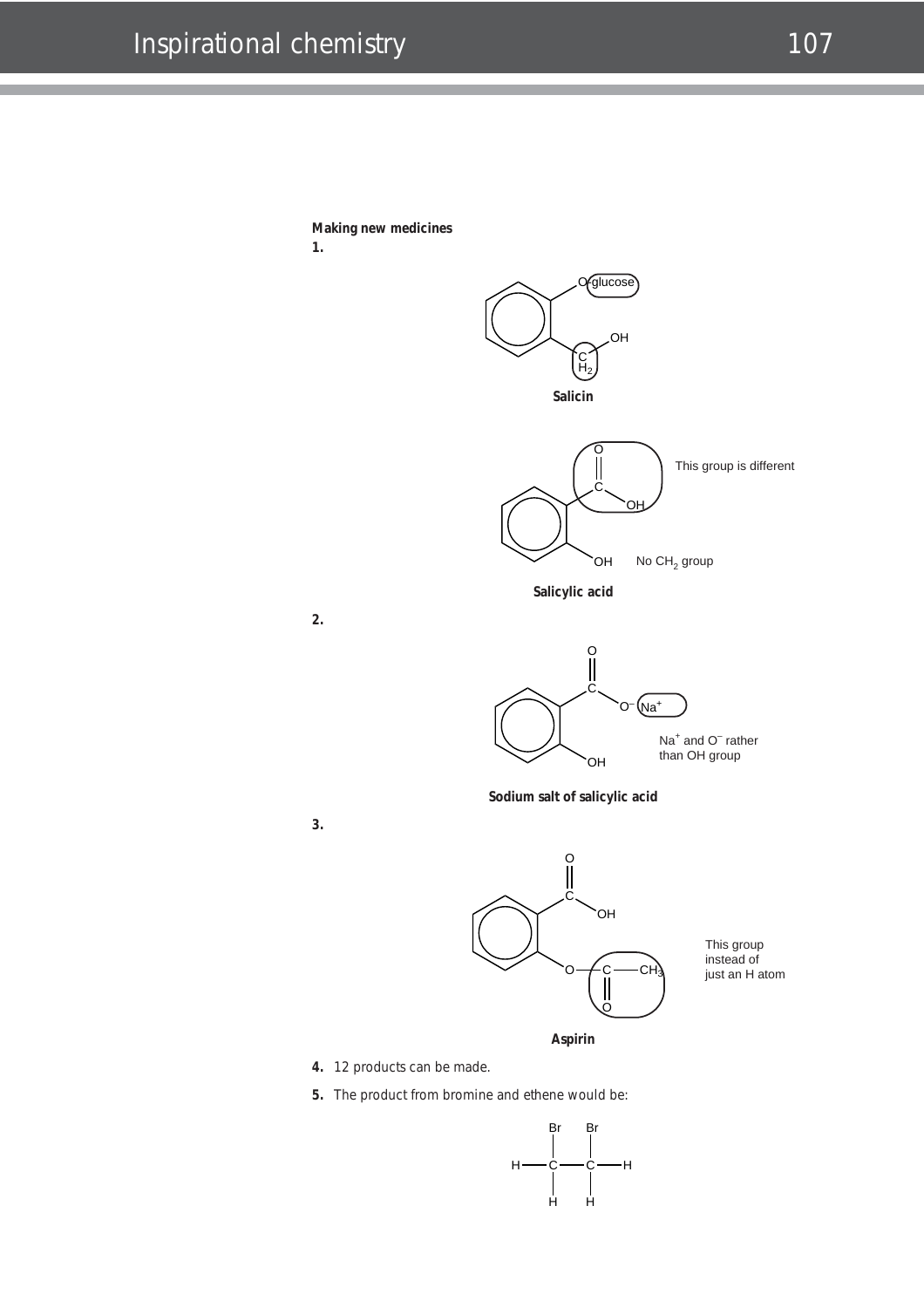

**2.**

**3.**



- 
- **5.** The product from bromine and ethene would be:

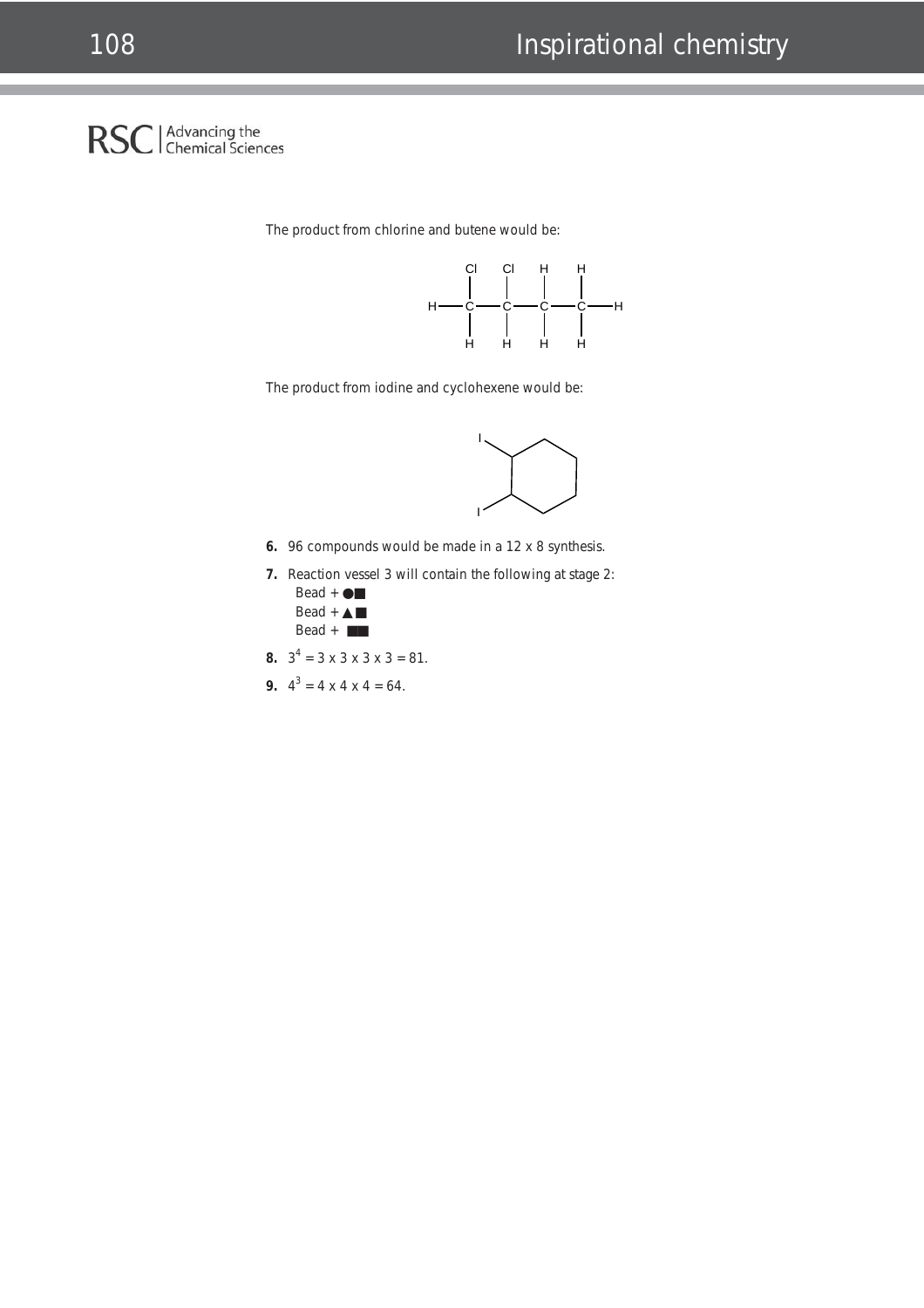#### Advancing the<br>Chemical Sciences **RSC**

The product from chlorine and butene would be:



The product from iodine and cyclohexene would be:



- **6.** 96 compounds would be made in a 12 x 8 synthesis.
- **7.** Reaction vessel 3 will contain the following at stage 2:  $Bead + \bigcirc$ 
	- $Bead + \triangle$ Bead + ■■
- **8.**  $3^4 = 3 \times 3 \times 3 \times 3 = 81$ .
- **9.**  $4^3 = 4 \times 4 \times 4 = 64$ .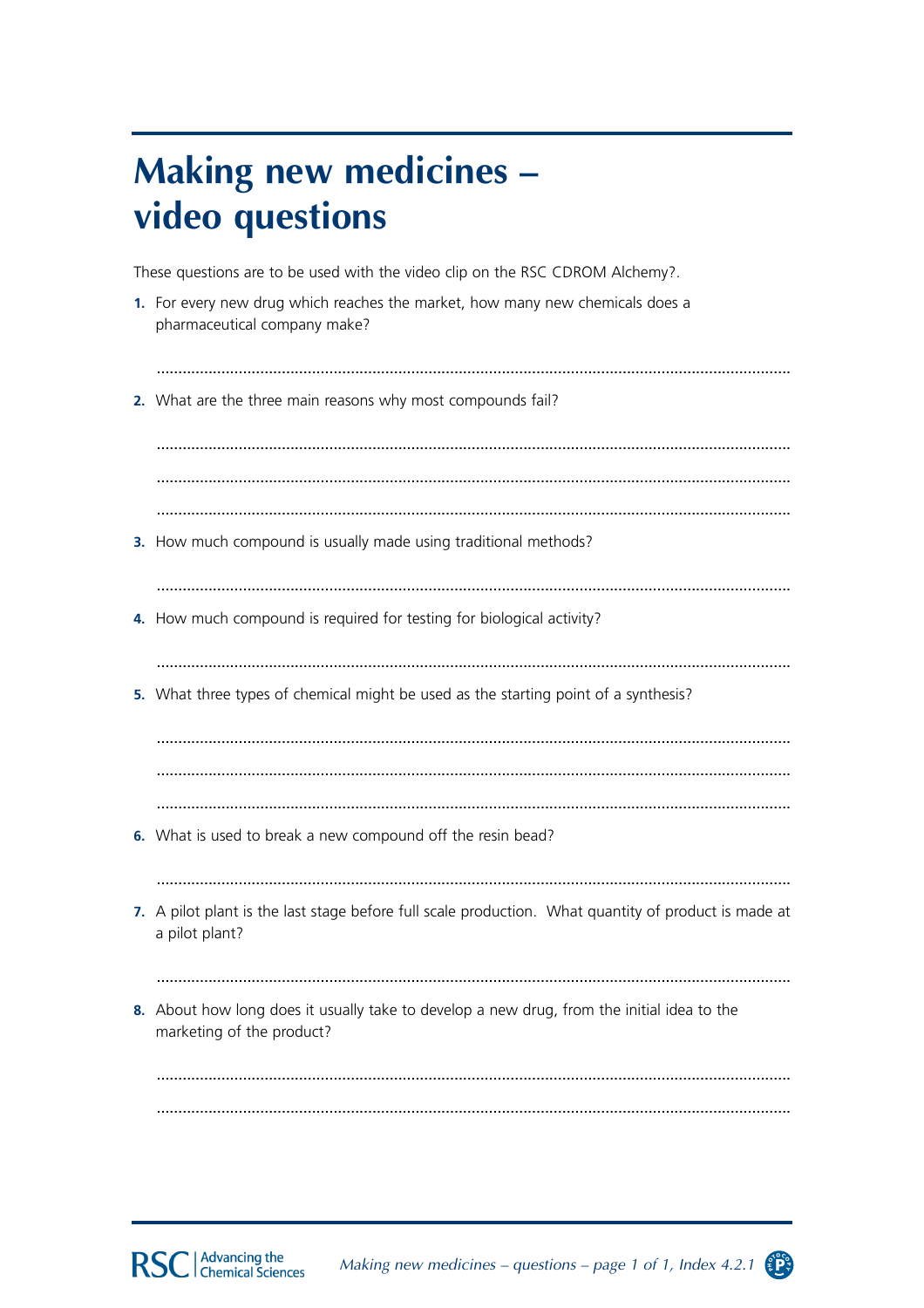## **Making new medicines** video questions

These questions are to be used with the video clip on the RSC CDROM Alchemy?.

- 1. For every new drug which reaches the market, how many new chemicals does a pharmaceutical company make?
- 2. What are the three main reasons why most compounds fail?

3. How much compound is usually made using traditional methods?

4. How much compound is required for testing for biological activity?

5. What three types of chemical might be used as the starting point of a synthesis?

- 6. What is used to break a new compound off the resin bead?
- 
- 7. A pilot plant is the last stage before full scale production. What quantity of product is made at a pilot plant?
- 
- 8. About how long does it usually take to develop a new drug, from the initial idea to the marketing of the product?



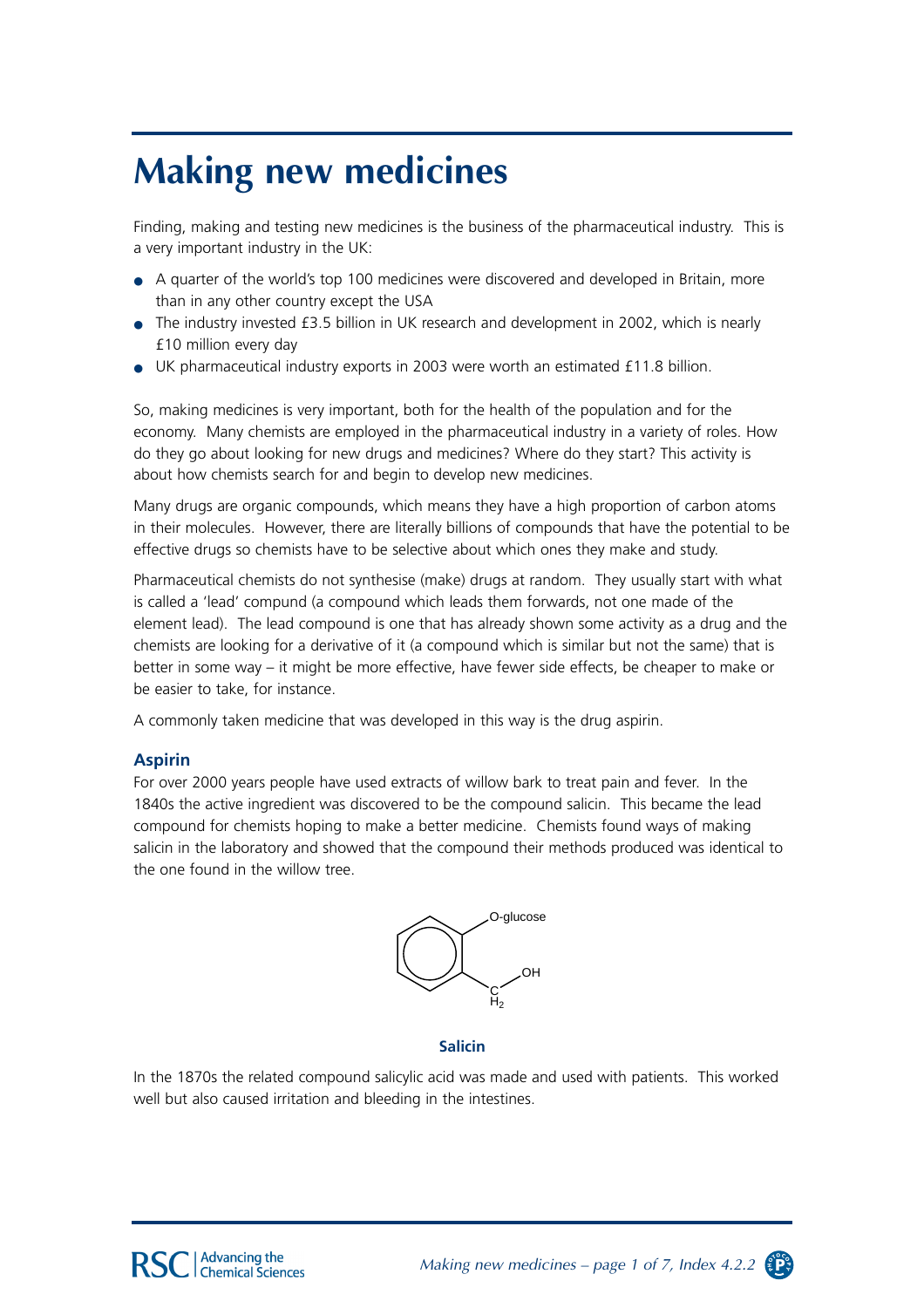# **Making new medicines**

Finding, making and testing new medicines is the business of the pharmaceutical industry. This is a very important industry in the UK:

- A quarter of the world's top 100 medicines were discovered and developed in Britain, more than in any other country except the USA
- The industry invested £3.5 billion in UK research and development in 2002, which is nearly £10 million every day
- UK pharmaceutical industry exports in 2003 were worth an estimated £11.8 billion.

So, making medicines is very important, both for the health of the population and for the economy. Many chemists are employed in the pharmaceutical industry in a variety of roles. How do they go about looking for new drugs and medicines? Where do they start? This activity is about how chemists search for and begin to develop new medicines.

Many drugs are organic compounds, which means they have a high proportion of carbon atoms in their molecules. However, there are literally billions of compounds that have the potential to be effective drugs so chemists have to be selective about which ones they make and study.

Pharmaceutical chemists do not synthesise (make) drugs at random. They usually start with what is called a 'lead' compund (a compound which leads them forwards, not one made of the element lead). The lead compound is one that has already shown some activity as a drug and the chemists are looking for a derivative of it (a compound which is similar but not the same) that is better in some way – it might be more effective, have fewer side effects, be cheaper to make or be easier to take, for instance.

A commonly taken medicine that was developed in this way is the drug aspirin.

#### **Aspirin**

For over 2000 years people have used extracts of willow bark to treat pain and fever. In the 1840s the active ingredient was discovered to be the compound salicin. This became the lead compound for chemists hoping to make a better medicine. Chemists found ways of making salicin in the laboratory and showed that the compound their methods produced was identical to the one found in the willow tree.



#### **Salicin**

In the 1870s the related compound salicylic acid was made and used with patients. This worked well but also caused irritation and bleeding in the intestines.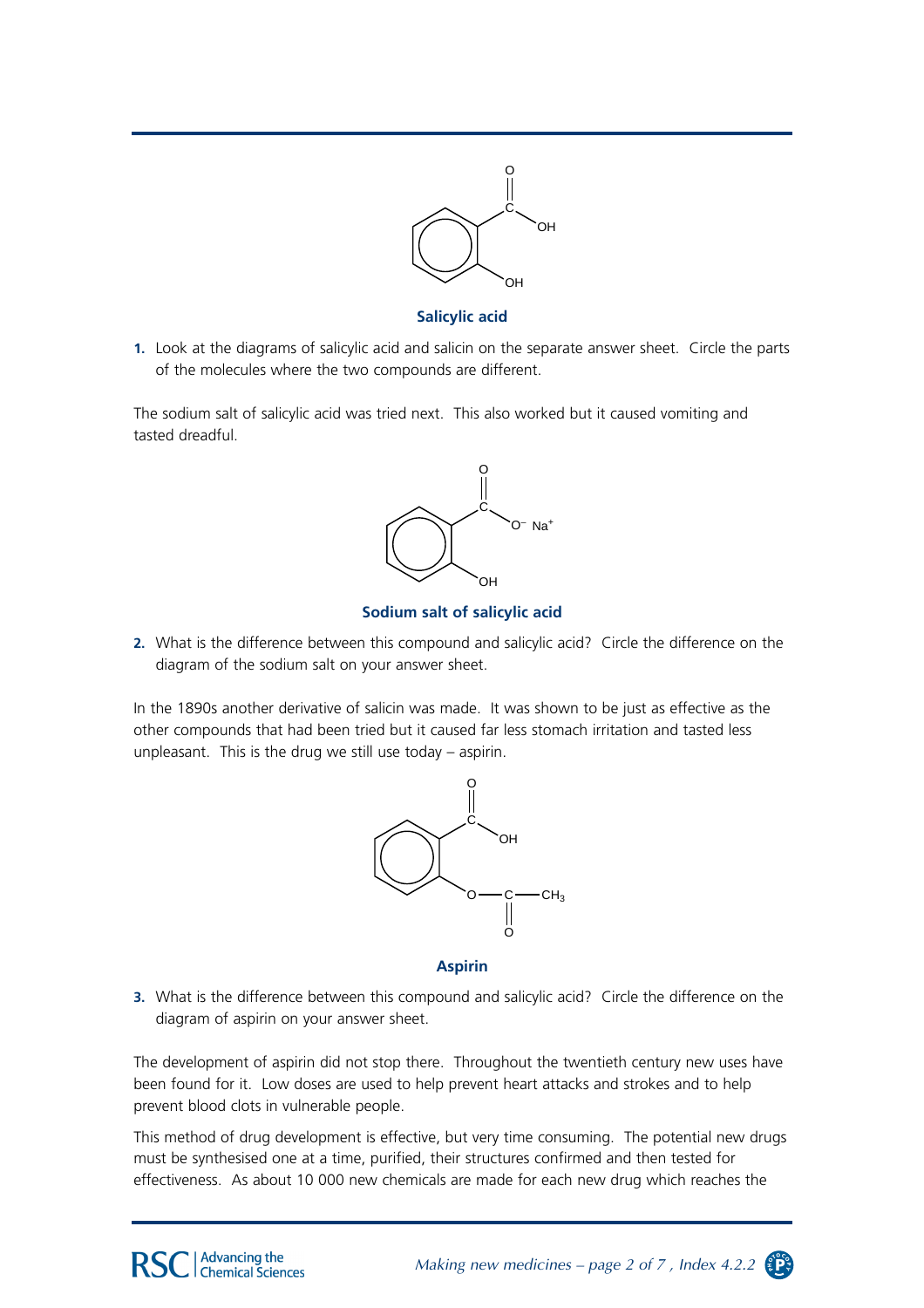

**Salicylic acid**

**1.** Look at the diagrams of salicylic acid and salicin on the separate answer sheet. Circle the parts of the molecules where the two compounds are different.

The sodium salt of salicylic acid was tried next. This also worked but it caused vomiting and tasted dreadful.



#### **Sodium salt of salicylic acid**

**2.** What is the difference between this compound and salicylic acid? Circle the difference on the diagram of the sodium salt on your answer sheet.

In the 1890s another derivative of salicin was made. It was shown to be just as effective as the other compounds that had been tried but it caused far less stomach irritation and tasted less unpleasant. This is the drug we still use today – aspirin.



**Aspirin**

**3.** What is the difference between this compound and salicylic acid? Circle the difference on the diagram of aspirin on your answer sheet.

The development of aspirin did not stop there. Throughout the twentieth century new uses have been found for it. Low doses are used to help prevent heart attacks and strokes and to help prevent blood clots in vulnerable people.

This method of drug development is effective, but very time consuming. The potential new drugs must be synthesised one at a time, purified, their structures confirmed and then tested for effectiveness. As about 10 000 new chemicals are made for each new drug which reaches the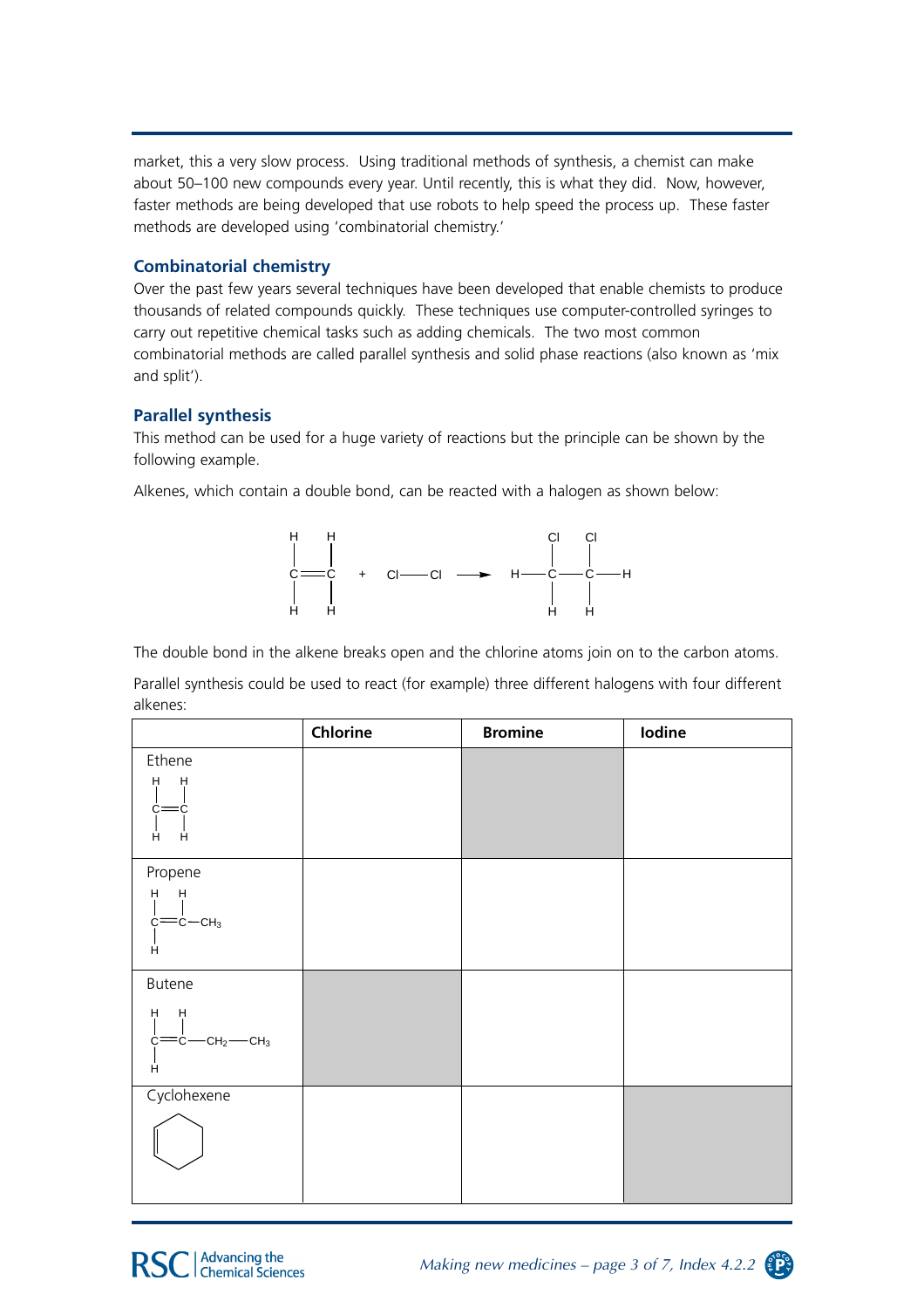market, this a very slow process. Using traditional methods of synthesis, a chemist can make about 50–100 new compounds every year. Until recently, this is what they did. Now, however, faster methods are being developed that use robots to help speed the process up. These faster methods are developed using 'combinatorial chemistry.'

#### **Combinatorial chemistry**

Over the past few years several techniques have been developed that enable chemists to produce thousands of related compounds quickly. These techniques use computer-controlled syringes to carry out repetitive chemical tasks such as adding chemicals. The two most common combinatorial methods are called parallel synthesis and solid phase reactions (also known as 'mix and split').

#### **Parallel synthesis**

This method can be used for a huge variety of reactions but the principle can be shown by the following example.

Alkenes, which contain a double bond, can be reacted with a halogen as shown below:



The double bond in the alkene breaks open and the chlorine atoms join on to the carbon atoms.

Parallel synthesis could be used to react (for example) three different halogens with four different alkenes:

|                                         | Chlorine | <b>Bromine</b> | Iodine |
|-----------------------------------------|----------|----------------|--------|
| Ethene                                  |          |                |        |
| $H$ H<br>$=$ c<br>C=<br>Ĥ<br>Ĥ.         |          |                |        |
| Propene                                 |          |                |        |
| $H$ H                                   |          |                |        |
| $c = c - c$ H <sub>3</sub>              |          |                |        |
| Ĥ                                       |          |                |        |
| <b>Butene</b>                           |          |                |        |
| $H$ $H$<br>$c = c - cH_2$ - $CH_3$<br>Ĥ |          |                |        |
| Cyclohexene                             |          |                |        |
|                                         |          |                |        |

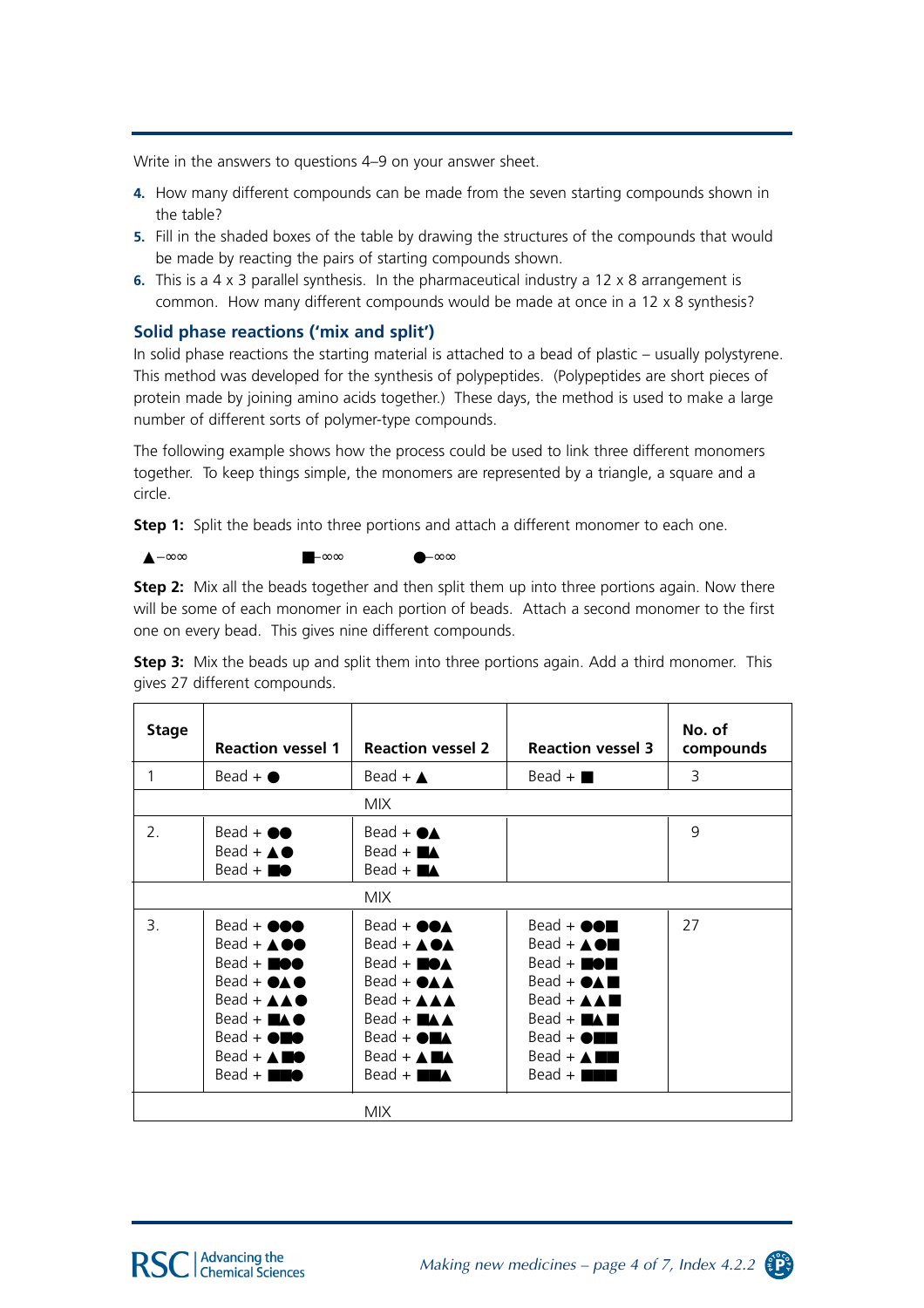Write in the answers to questions 4–9 on your answer sheet.

- **4.** How many different compounds can be made from the seven starting compounds shown in the table?
- **5.** Fill in the shaded boxes of the table by drawing the structures of the compounds that would be made by reacting the pairs of starting compounds shown.
- **6.** This is a 4 x 3 parallel synthesis. In the pharmaceutical industry a 12 x 8 arrangement is common. How many different compounds would be made at once in a 12 x 8 synthesis?

#### **Solid phase reactions ('mix and split')**

▲–∞∞ ■–∞∞ ●–∞∞

In solid phase reactions the starting material is attached to a bead of plastic – usually polystyrene. This method was developed for the synthesis of polypeptides. (Polypeptides are short pieces of protein made by joining amino acids together.) These days, the method is used to make a large number of different sorts of polymer-type compounds.

The following example shows how the process could be used to link three different monomers together. To keep things simple, the monomers are represented by a triangle, a square and a circle.

**Step 1:** Split the beads into three portions and attach a different monomer to each one.

**Step 2:** Mix all the beads together and then split them up into three portions again. Now there will be some of each monomer in each portion of beads. Attach a second monomer to the first one on every bead. This gives nine different compounds.

| <b>Stage</b> | <b>Reaction vessel 1</b>                                                                                                                                                                                                                                                                                                                                                  | <b>Reaction vessel 2</b>                                                                                                                                                                                                                                                                                                                                                    | <b>Reaction vessel 3</b>                                                                                                                                                                                                                                                                                                 | No. of<br>compounds |
|--------------|---------------------------------------------------------------------------------------------------------------------------------------------------------------------------------------------------------------------------------------------------------------------------------------------------------------------------------------------------------------------------|-----------------------------------------------------------------------------------------------------------------------------------------------------------------------------------------------------------------------------------------------------------------------------------------------------------------------------------------------------------------------------|--------------------------------------------------------------------------------------------------------------------------------------------------------------------------------------------------------------------------------------------------------------------------------------------------------------------------|---------------------|
| 1            | $Bead + \bullet$                                                                                                                                                                                                                                                                                                                                                          | Bead + $\triangle$                                                                                                                                                                                                                                                                                                                                                          | $Bead + \blacksquare$                                                                                                                                                                                                                                                                                                    | 3                   |
|              |                                                                                                                                                                                                                                                                                                                                                                           | MIX.                                                                                                                                                                                                                                                                                                                                                                        |                                                                                                                                                                                                                                                                                                                          |                     |
| 2.           | $Bead + \bullet \bullet$<br>$Bead + \triangle \bullet$<br>$Bead + \blacksquare \bullet$                                                                                                                                                                                                                                                                                   | Bead + $\bullet\blacktriangle$<br>$Bead + \blacksquare$<br>Bead + $\blacksquare\blacktriangle$                                                                                                                                                                                                                                                                              |                                                                                                                                                                                                                                                                                                                          | 9                   |
|              |                                                                                                                                                                                                                                                                                                                                                                           | <b>MIX</b>                                                                                                                                                                                                                                                                                                                                                                  |                                                                                                                                                                                                                                                                                                                          |                     |
| 3.           | $Bead + \bullet \bullet \bullet$<br>$\text{Bead} + \text{AO}$<br>$Bead + \blacksquare \bullet \bullet$<br>$\text{Bead} + \bullet \blacktriangle \bullet$<br>$\text{Bead} + \triangle \triangle \bullet$<br>$Bead + \blacksquare \triangle \spadesuit$<br>$Bead + \bigcirc$<br>$Bead + \triangle \blacksquare \bullet$<br>$Bead + \blacksquare \blacksquare \blacklozenge$ | $Bead + \bullet \bullet \blacktriangle$<br>$\text{Bead} + \text{AOA}$<br>$\text{Bead} + \blacksquare \bullet \blacktriangle$<br>$\text{Read} + \text{OAA}$<br>$\text{Bead} + \triangle \triangle \triangle$<br>$Bead + M \triangle$<br>$Bead + \bigcirc$ $\blacktriangle$<br>$Bead + \triangle \blacksquare \triangle$<br>$Bead + \blacksquare \blacksquare \blacktriangle$ | $Bead + \bullet \bullet \blacksquare$<br>$Bead + \triangle$<br>$Bead + \blacksquare \blacklozenge \blacksquare$<br>$Bead + \bigcirc \triangle \blacksquare$<br>Bead + $AA$<br>$Bead + \blacksquare \triangle \blacksquare$<br>$Bead + \bigcirc$<br>$Bead + \triangle \blacksquare$<br>$Bead + \blacksquare \blacksquare$ | 27                  |

**Step 3:** Mix the beads up and split them into three portions again. Add a third monomer. This gives 27 different compounds.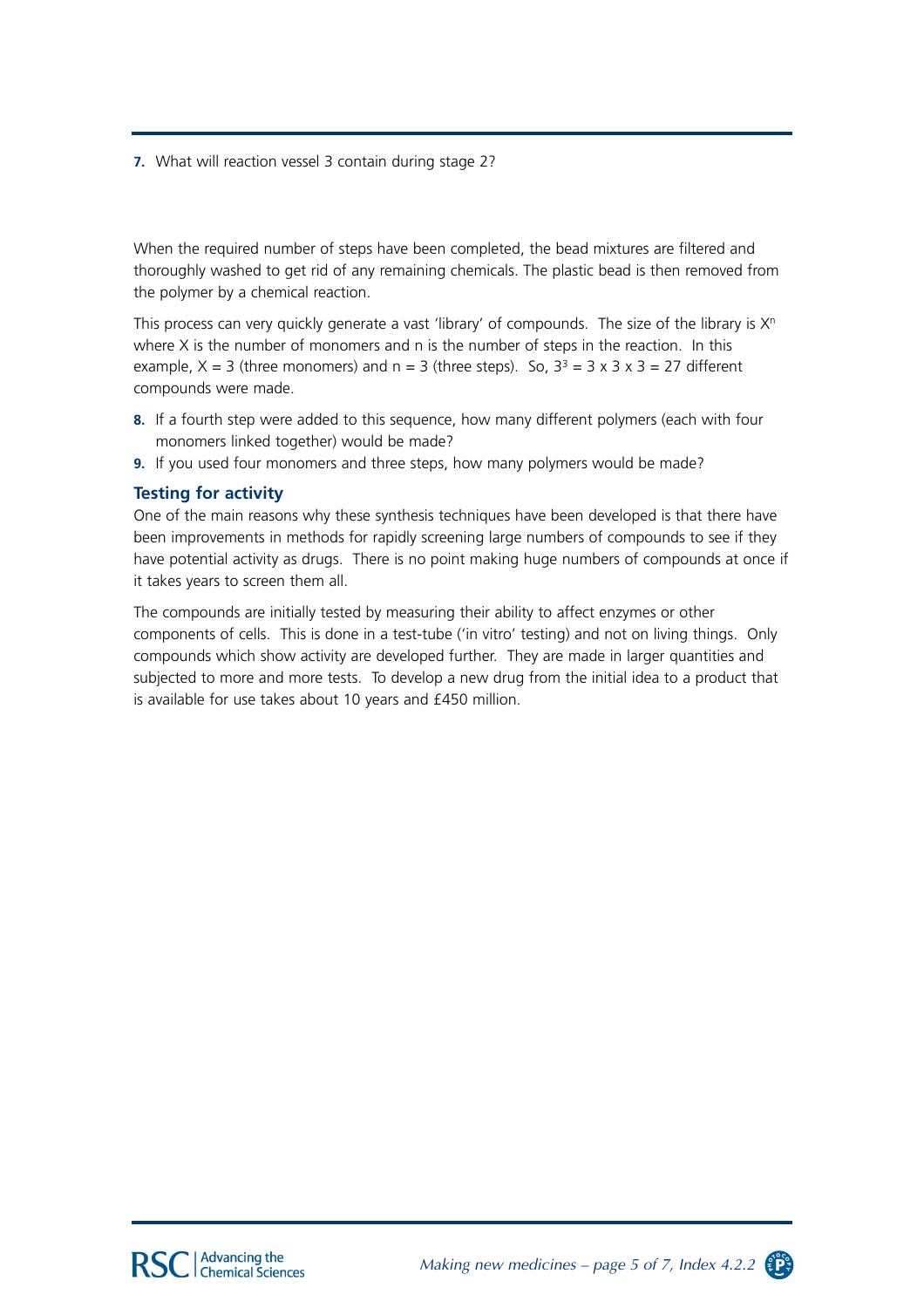**7.** What will reaction vessel 3 contain during stage 2?

When the required number of steps have been completed, the bead mixtures are filtered and thoroughly washed to get rid of any remaining chemicals. The plastic bead is then removed from the polymer by a chemical reaction.

This process can very quickly generate a vast 'library' of compounds. The size of the library is  $X<sup>n</sup>$ where  $X$  is the number of monomers and  $n$  is the number of steps in the reaction. In this example,  $X = 3$  (three monomers) and  $n = 3$  (three steps). So,  $3<sup>3</sup> = 3 \times 3 \times 3 = 27$  different compounds were made.

- **8.** If a fourth step were added to this sequence, how many different polymers (each with four monomers linked together) would be made?
- **9.** If you used four monomers and three steps, how many polymers would be made?

#### **Testing for activity**

One of the main reasons why these synthesis techniques have been developed is that there have been improvements in methods for rapidly screening large numbers of compounds to see if they have potential activity as drugs. There is no point making huge numbers of compounds at once if it takes years to screen them all.

The compounds are initially tested by measuring their ability to affect enzymes or other components of cells. This is done in a test-tube ('in vitro' testing) and not on living things. Only compounds which show activity are developed further. They are made in larger quantities and subjected to more and more tests. To develop a new drug from the initial idea to a product that is available for use takes about 10 years and £450 million.

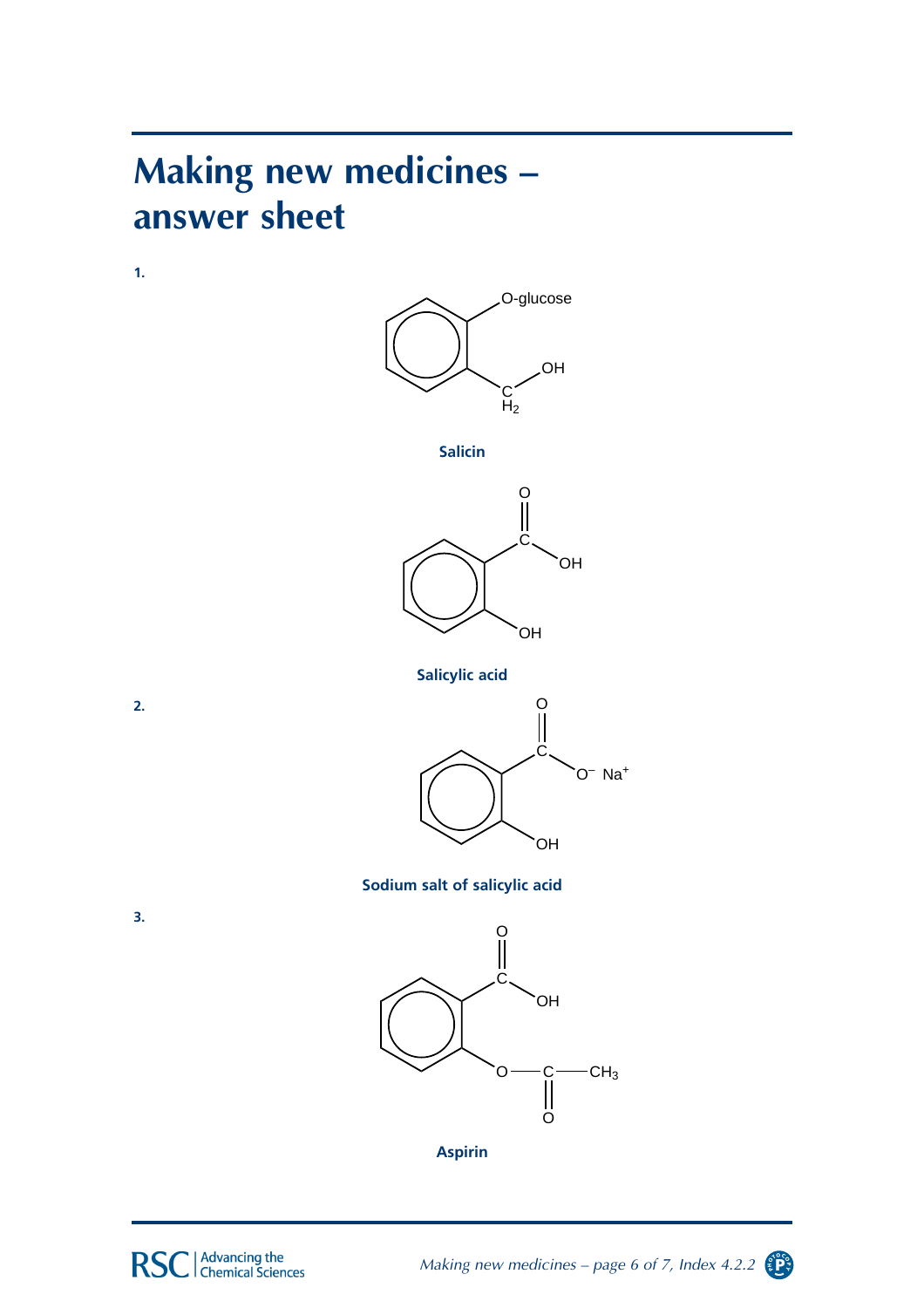### **Making new medicines – answer sheet**

**1.** 



**Salicin** 



**Salicylic acid**



**Sodium salt of salicylic acid**



**3.**

**2.**